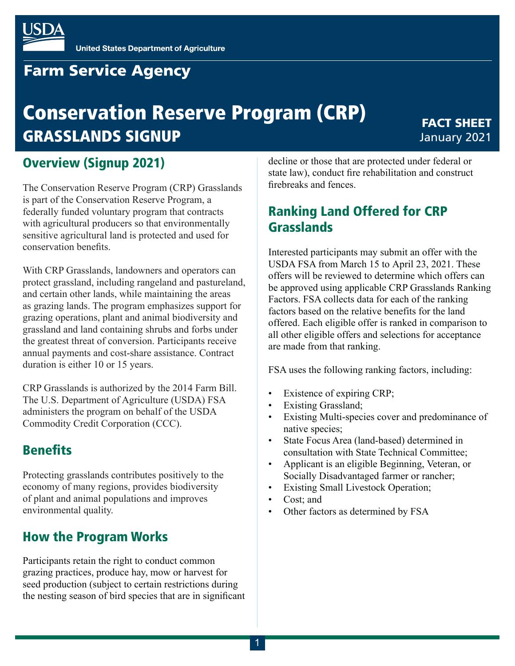

# **Farm Service Agency**

# Conservation Reserve Program (CRP) GRASSLANDS SIGNUP

### FACT SHEET January 2021

### Overview (Signup 2021)

The Conservation Reserve Program (CRP) Grasslands is part of the Conservation Reserve Program, a federally funded voluntary program that contracts with agricultural producers so that environmentally sensitive agricultural land is protected and used for conservation benefits.

With CRP Grasslands, landowners and operators can protect grassland, including rangeland and pastureland, and certain other lands, while maintaining the areas as grazing lands. The program emphasizes support for grazing operations, plant and animal biodiversity and grassland and land containing shrubs and forbs under the greatest threat of conversion. Participants receive annual payments and cost-share assistance. Contract duration is either 10 or 15 years.

CRP Grasslands is authorized by the 2014 Farm Bill. The U.S. Department of Agriculture (USDA) FSA administers the program on behalf of the USDA Commodity Credit Corporation (CCC).

### **Benefits**

Protecting grasslands contributes positively to the economy of many regions, provides biodiversity of plant and animal populations and improves environmental quality.

### How the Program Works

Participants retain the right to conduct common grazing practices, produce hay, mow or harvest for seed production (subject to certain restrictions during the nesting season of bird species that are in significant decline or those that are protected under federal or state law), conduct fire rehabilitation and construct firebreaks and fences.

## Ranking Land Offered for CRP Grasslands

Interested participants may submit an offer with the USDA FSA from March 15 to April 23, 2021. These offers will be reviewed to determine which offers can be approved using applicable CRP Grasslands Ranking Factors. FSA collects data for each of the ranking factors based on the relative benefits for the land offered. Each eligible offer is ranked in comparison to all other eligible offers and selections for acceptance are made from that ranking.

FSA uses the following ranking factors, including:

- Existence of expiring CRP;
- Existing Grassland;
- Existing Multi-species cover and predominance of native species;
- State Focus Area (land-based) determined in consultation with State Technical Committee;
- Applicant is an eligible Beginning, Veteran, or Socially Disadvantaged farmer or rancher;
- **Existing Small Livestock Operation;**
- Cost; and
- Other factors as determined by FSA